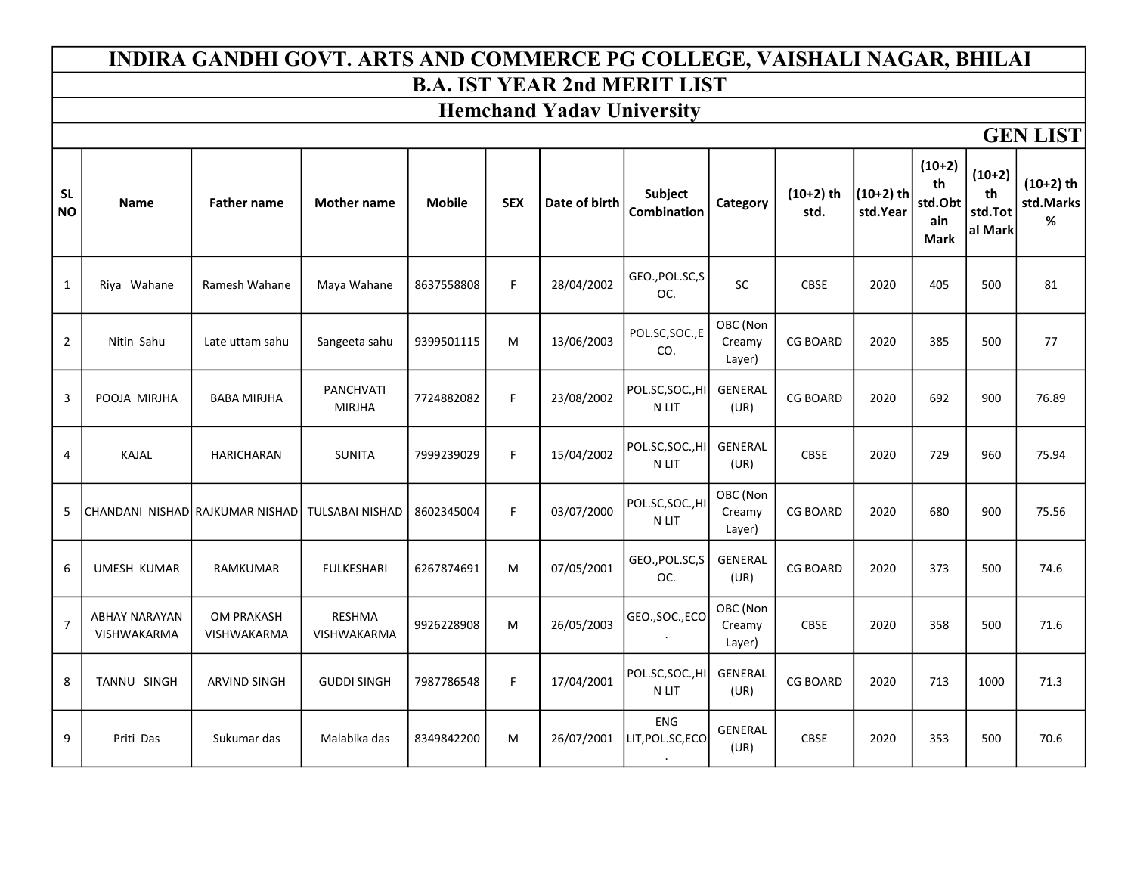#### INDIRA GANDHI GOVT. ARTS AND COMMERCE PG COLLEGE, VAISHALI NAGAR, BHILAI B.A. IST YEAR 2nd MERIT LIST

### Hemchand Yadav University

| <b>SL</b><br><b>NO</b> | Name                                       | <b>Father name</b>               | <b>Mother name</b>                  | <b>Mobile</b> | <b>SEX</b> | Date of birth | Subject<br><b>Combination</b>  | Category                     | $(10+2)$ th<br>std. | $(10+2)$ th<br>std.Year | $(10+2)$<br>th<br>std.Obt<br>ain<br><b>Mark</b> | $(10+2)$<br>th<br>std.Tot<br>al Mark | $(10+2)$ th<br>std.Marks<br>$\%$ |
|------------------------|--------------------------------------------|----------------------------------|-------------------------------------|---------------|------------|---------------|--------------------------------|------------------------------|---------------------|-------------------------|-------------------------------------------------|--------------------------------------|----------------------------------|
| 1                      | Riya Wahane                                | Ramesh Wahane                    | Maya Wahane                         | 8637558808    | F.         | 28/04/2002    | GEO., POL.SC, S<br>OC.         | SC                           | <b>CBSE</b>         | 2020                    | 405                                             | 500                                  | 81                               |
| $\overline{2}$         | Nitin Sahu                                 | Late uttam sahu                  | Sangeeta sahu                       | 9399501115    | M          | 13/06/2003    | POL.SC, SOC., E<br>CO.         | OBC (Non<br>Creamy<br>Layer) | <b>CG BOARD</b>     | 2020                    | 385                                             | 500                                  | 77                               |
| 3                      | POOJA MIRJHA                               | <b>BABA MIRJHA</b>               | PANCHVATI<br><b>MIRJHA</b>          | 7724882082    | F          | 23/08/2002    | POL.SC, SOC., HI<br>N LIT      | <b>GENERAL</b><br>(UR)       | <b>CG BOARD</b>     | 2020                    | 692                                             | 900                                  | 76.89                            |
| 4                      | KAJAL                                      | <b>HARICHARAN</b>                | <b>SUNITA</b>                       | 7999239029    | F          | 15/04/2002    | POL.SC, SOC., HI<br>N LIT      | <b>GENERAL</b><br>(UR)       | <b>CBSE</b>         | 2020                    | 729                                             | 960                                  | 75.94                            |
| 5                      |                                            | CHANDANI NISHAD RAJKUMAR NISHAD  | <b>TULSABAI NISHAD</b>              | 8602345004    | F.         | 03/07/2000    | POL.SC, SOC., HI<br>N LIT      | OBC (Non<br>Creamy<br>Layer) | <b>CG BOARD</b>     | 2020                    | 680                                             | 900                                  | 75.56                            |
| 6                      | <b>UMESH KUMAR</b>                         | <b>RAMKUMAR</b>                  | <b>FULKESHARI</b>                   | 6267874691    | M          | 07/05/2001    | GEO., POL.SC, S<br>OC.         | <b>GENERAL</b><br>(UR)       | <b>CG BOARD</b>     | 2020                    | 373                                             | 500                                  | 74.6                             |
| $\overline{7}$         | <b>ABHAY NARAYAN</b><br><b>VISHWAKARMA</b> | <b>OM PRAKASH</b><br>VISHWAKARMA | <b>RESHMA</b><br><b>VISHWAKARMA</b> | 9926228908    | M          | 26/05/2003    | GEO., SOC., ECO                | OBC (Non<br>Creamy<br>Layer) | <b>CBSE</b>         | 2020                    | 358                                             | 500                                  | 71.6                             |
| 8                      | TANNU SINGH                                | <b>ARVIND SINGH</b>              | <b>GUDDI SINGH</b>                  | 7987786548    | F          | 17/04/2001    | POL.SC,SOC.,HI<br>N LIT        | <b>GENERAL</b><br>(UR)       | <b>CG BOARD</b>     | 2020                    | 713                                             | 1000                                 | 71.3                             |
| 9                      | Priti Das                                  | Sukumar das                      | Malabika das                        | 8349842200    | M          | 26/07/2001    | <b>ENG</b><br>LIT, POL.SC, ECO | GENERAL<br>(UR)              | <b>CBSE</b>         | 2020                    | 353                                             | 500                                  | 70.6                             |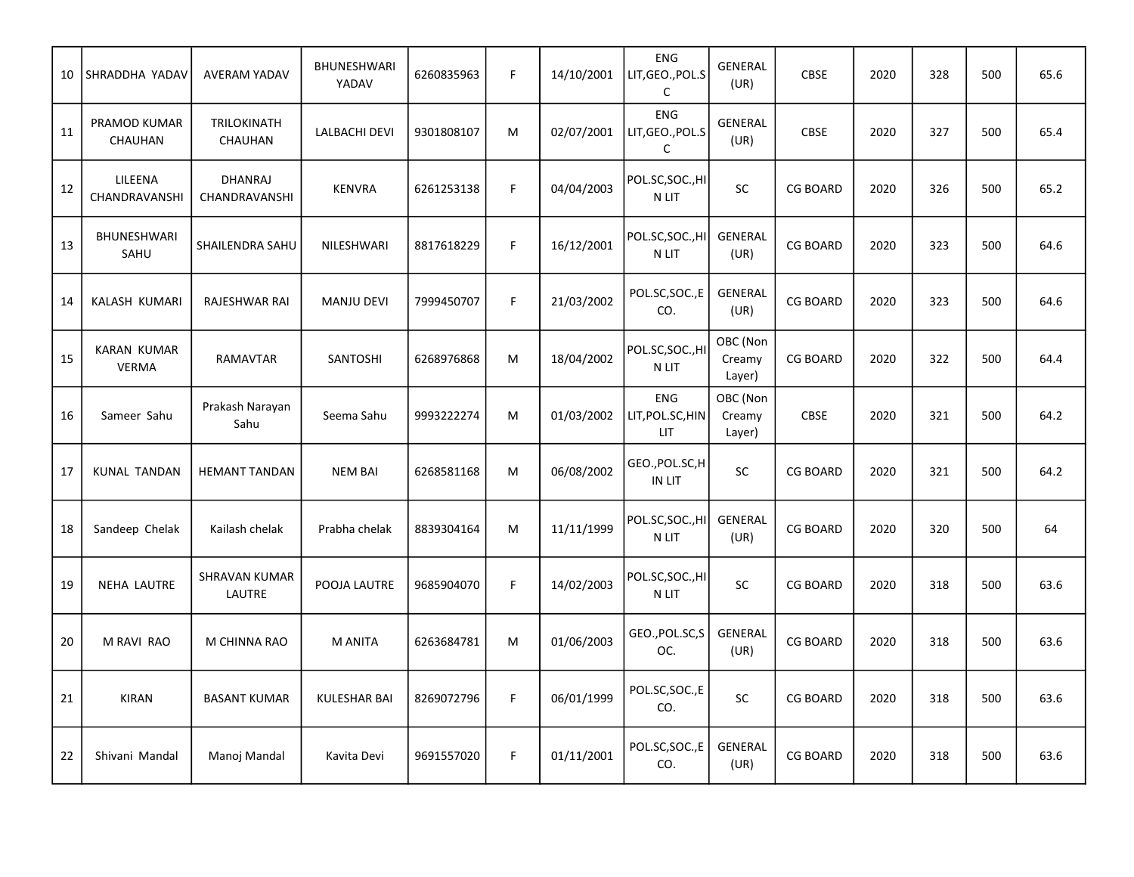| 10 | SHRADDHA YADAV                     | <b>AVERAM YADAV</b>             | <b>BHUNESHWARI</b><br>YADAV | 6260835963 | F | 14/10/2001 | <b>ENG</b><br>LIT, GEO., POL.S<br>C           | GENERAL<br>(UR)              | <b>CBSE</b>     | 2020 | 328 | 500 | 65.6 |
|----|------------------------------------|---------------------------------|-----------------------------|------------|---|------------|-----------------------------------------------|------------------------------|-----------------|------|-----|-----|------|
| 11 | PRAMOD KUMAR<br>CHAUHAN            | TRILOKINATH<br>CHAUHAN          | LALBACHI DEVI               | 9301808107 | M | 02/07/2001 | <b>ENG</b><br>LIT, GEO., POL.S<br>$\mathsf C$ | <b>GENERAL</b><br>(UR)       | <b>CBSE</b>     | 2020 | 327 | 500 | 65.4 |
| 12 | LILEENA<br>CHANDRAVANSHI           | <b>DHANRAJ</b><br>CHANDRAVANSHI | <b>KENVRA</b>               | 6261253138 | F | 04/04/2003 | POL.SC,SOC.,HI<br>N LIT                       | <b>SC</b>                    | <b>CG BOARD</b> | 2020 | 326 | 500 | 65.2 |
| 13 | <b>BHUNESHWARI</b><br>SAHU         | SHAILENDRA SAHU                 | NILESHWARI                  | 8817618229 | F | 16/12/2001 | POL.SC,SOC.,HI<br>N LIT                       | <b>GENERAL</b><br>(UR)       | <b>CG BOARD</b> | 2020 | 323 | 500 | 64.6 |
| 14 | KALASH KUMARI                      | RAJESHWAR RAI                   | <b>MANJU DEVI</b>           | 7999450707 | F | 21/03/2002 | POL.SC,SOC.,E<br>CO.                          | <b>GENERAL</b><br>(UR)       | <b>CG BOARD</b> | 2020 | 323 | 500 | 64.6 |
| 15 | <b>KARAN KUMAR</b><br><b>VERMA</b> | <b>RAMAVTAR</b>                 | <b>SANTOSHI</b>             | 6268976868 | M | 18/04/2002 | POL.SC,SOC.,HI<br>N LIT                       | OBC (Non<br>Creamy<br>Layer) | <b>CG BOARD</b> | 2020 | 322 | 500 | 64.4 |
| 16 | Sameer Sahu                        | Prakash Narayan<br>Sahu         | Seema Sahu                  | 9993222274 | M | 01/03/2002 | <b>ENG</b><br>LIT, POL.SC, HIN<br>LIT.        | OBC (Non<br>Creamy<br>Layer) | <b>CBSE</b>     | 2020 | 321 | 500 | 64.2 |
| 17 | <b>KUNAL TANDAN</b>                | <b>HEMANT TANDAN</b>            | <b>NEM BAI</b>              | 6268581168 | M | 06/08/2002 | GEO., POL.SC, H<br>IN LIT                     | SC                           | <b>CG BOARD</b> | 2020 | 321 | 500 | 64.2 |
| 18 | Sandeep Chelak                     | Kailash chelak                  | Prabha chelak               | 8839304164 | M | 11/11/1999 | POL.SC,SOC.,HI<br>N LIT                       | <b>GENERAL</b><br>(UR)       | <b>CG BOARD</b> | 2020 | 320 | 500 | 64   |
| 19 | <b>NEHA LAUTRE</b>                 | SHRAVAN KUMAR<br>LAUTRE         | POOJA LAUTRE                | 9685904070 | F | 14/02/2003 | POL.SC,SOC.,HI<br>$\,$ N LIT                  | SC                           | <b>CG BOARD</b> | 2020 | 318 | 500 | 63.6 |
| 20 | M RAVI RAO                         | M CHINNA RAO                    | M ANITA                     | 6263684781 | M | 01/06/2003 | GEO., POL.SC, S<br>OC.                        | GENERAL<br>(UR)              | <b>CG BOARD</b> | 2020 | 318 | 500 | 63.6 |
| 21 | <b>KIRAN</b>                       | <b>BASANT KUMAR</b>             | <b>KULESHAR BAI</b>         | 8269072796 | F | 06/01/1999 | POL.SC,SOC.,E<br>CO.                          | <b>SC</b>                    | <b>CG BOARD</b> | 2020 | 318 | 500 | 63.6 |
| 22 | Shivani Mandal                     | Manoj Mandal                    | Kavita Devi                 | 9691557020 | F | 01/11/2001 | POL.SC, SOC., E<br>CO.                        | <b>GENERAL</b><br>(UR)       | <b>CG BOARD</b> | 2020 | 318 | 500 | 63.6 |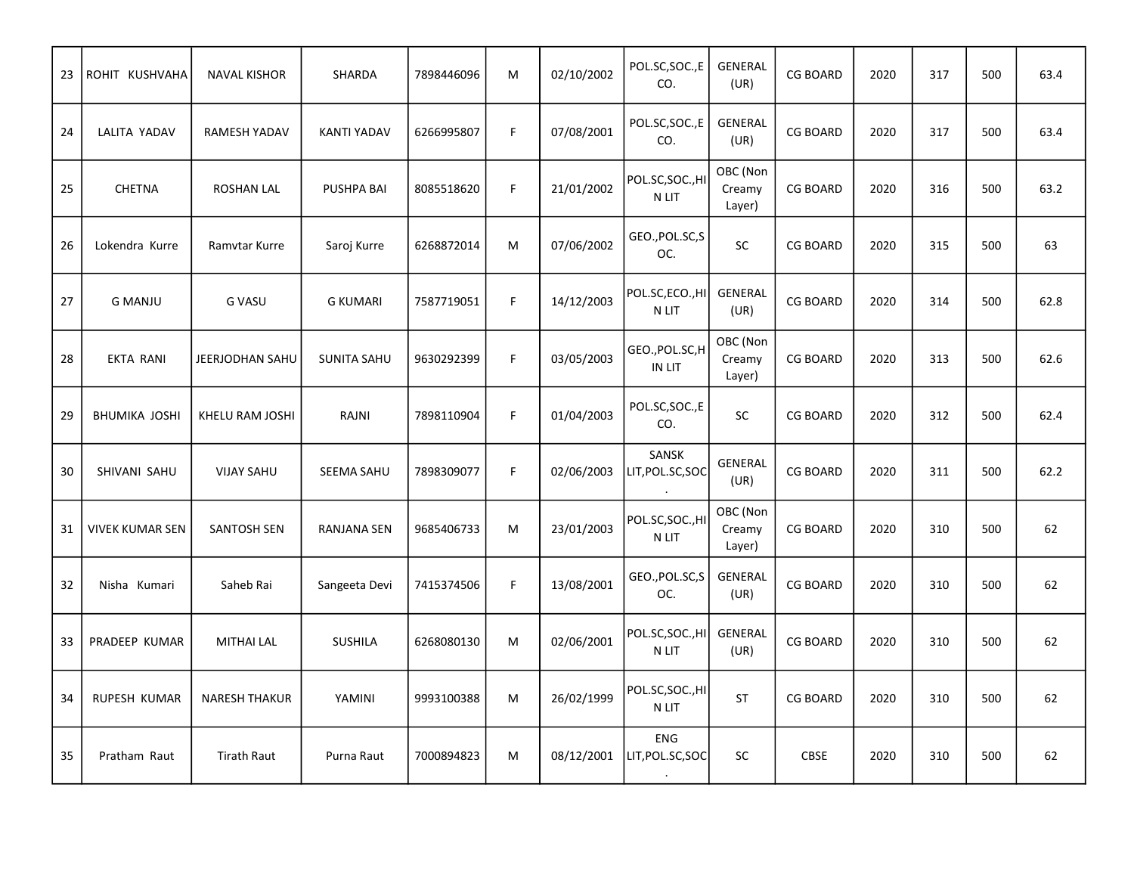| 23 | ROHIT KUSHVAHA         | <b>NAVAL KISHOR</b>  | SHARDA             | 7898446096 | M           | 02/10/2002 | POL.SC, SOC., E<br>CO.           | GENERAL<br>(UR)              | <b>CG BOARD</b> | 2020 | 317 | 500 | 63.4 |
|----|------------------------|----------------------|--------------------|------------|-------------|------------|----------------------------------|------------------------------|-----------------|------|-----|-----|------|
| 24 | LALITA YADAV           | RAMESH YADAV         | <b>KANTI YADAV</b> | 6266995807 | $\mathsf F$ | 07/08/2001 | POL.SC, SOC., E<br>CO.           | <b>GENERAL</b><br>(UR)       | <b>CG BOARD</b> | 2020 | 317 | 500 | 63.4 |
| 25 | <b>CHETNA</b>          | <b>ROSHAN LAL</b>    | PUSHPA BAI         | 8085518620 | $\mathsf F$ | 21/01/2002 | POL.SC,SOC.,HI<br>N LIT          | OBC (Non<br>Creamy<br>Layer) | <b>CG BOARD</b> | 2020 | 316 | 500 | 63.2 |
| 26 | Lokendra Kurre         | Ramvtar Kurre        | Saroj Kurre        | 6268872014 | M           | 07/06/2002 | GEO., POL.SC, S<br>OC.           | SC                           | <b>CG BOARD</b> | 2020 | 315 | 500 | 63   |
| 27 | <b>G MANJU</b>         | <b>G VASU</b>        | <b>G KUMARI</b>    | 7587719051 | F           | 14/12/2003 | POL.SC,ECO.,HI<br>N LIT          | <b>GENERAL</b><br>(UR)       | <b>CG BOARD</b> | 2020 | 314 | 500 | 62.8 |
| 28 | EKTA RANI              | JEERJODHAN SAHU      | <b>SUNITA SAHU</b> | 9630292399 | $\mathsf F$ | 03/05/2003 | GEO., POL.SC, H<br><b>IN LIT</b> | OBC (Non<br>Creamy<br>Layer) | <b>CG BOARD</b> | 2020 | 313 | 500 | 62.6 |
| 29 | <b>BHUMIKA JOSHI</b>   | KHELU RAM JOSHI      | RAJNI              | 7898110904 | F           | 01/04/2003 | POL.SC, SOC., E<br>CO.           | SC                           | <b>CG BOARD</b> | 2020 | 312 | 500 | 62.4 |
| 30 | SHIVANI SAHU           | <b>VIJAY SAHU</b>    | <b>SEEMA SAHU</b>  | 7898309077 | $\mathsf F$ | 02/06/2003 | SANSK<br>LIT, POL.SC, SOC        | <b>GENERAL</b><br>(UR)       | <b>CG BOARD</b> | 2020 | 311 | 500 | 62.2 |
| 31 | <b>VIVEK KUMAR SEN</b> | <b>SANTOSH SEN</b>   | RANJANA SEN        | 9685406733 | M           | 23/01/2003 | POL.SC,SOC.,HI<br>$\,$ N LIT     | OBC (Non<br>Creamy<br>Layer) | <b>CG BOARD</b> | 2020 | 310 | 500 | 62   |
| 32 | Nisha Kumari           | Saheb Rai            | Sangeeta Devi      | 7415374506 | $\mathsf F$ | 13/08/2001 | GEO., POL.SC, S<br>OC.           | GENERAL<br>(UR)              | <b>CG BOARD</b> | 2020 | 310 | 500 | 62   |
| 33 | PRADEEP KUMAR          | <b>MITHAI LAL</b>    | <b>SUSHILA</b>     | 6268080130 | M           | 02/06/2001 | POL.SC,SOC.,HI<br>N LIT          | <b>GENERAL</b><br>(UR)       | <b>CG BOARD</b> | 2020 | 310 | 500 | 62   |
| 34 | RUPESH KUMAR           | <b>NARESH THAKUR</b> | YAMINI             | 9993100388 | M           | 26/02/1999 | POL.SC,SOC.,HI<br>N LIT          | ST                           | <b>CG BOARD</b> | 2020 | 310 | 500 | 62   |
| 35 | Pratham Raut           | <b>Tirath Raut</b>   | Purna Raut         | 7000894823 | M           | 08/12/2001 | <b>ENG</b><br>LIT, POL.SC, SOC   | <b>SC</b>                    | <b>CBSE</b>     | 2020 | 310 | 500 | 62   |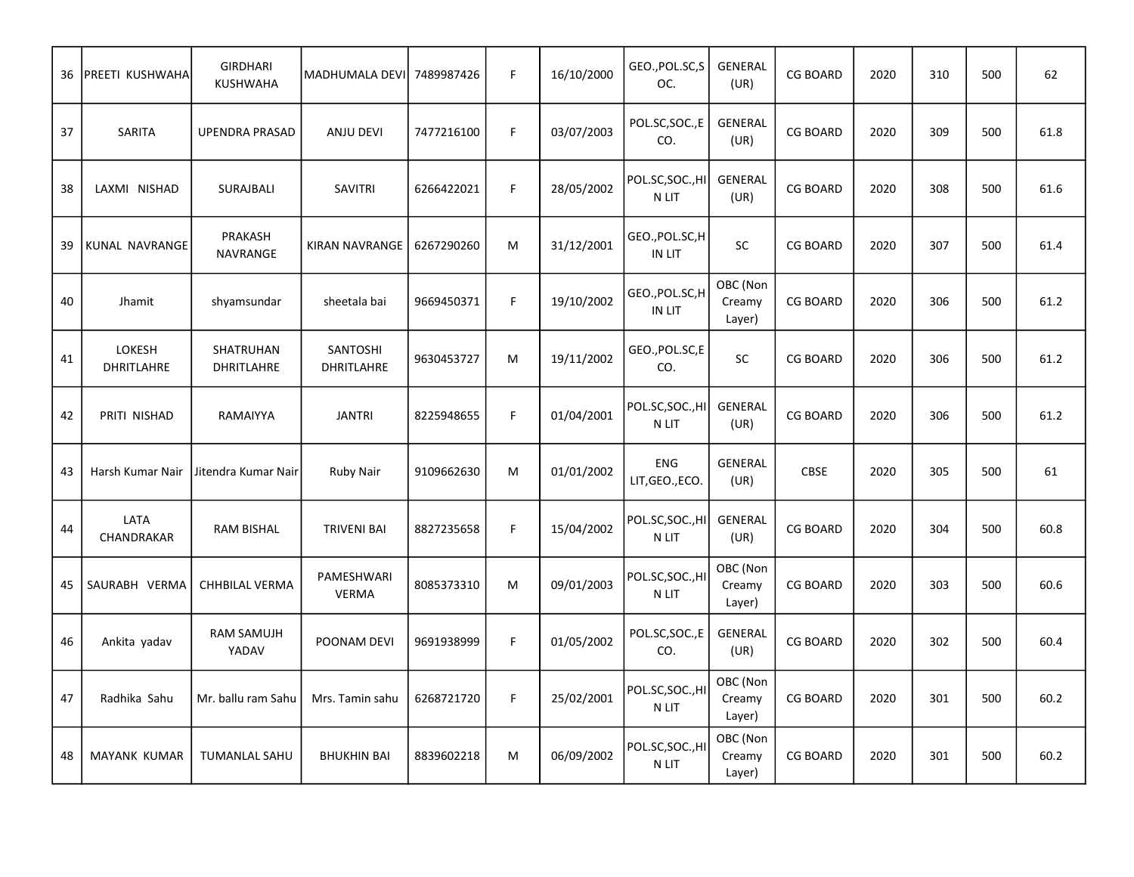| 36 | PREETI KUSHWAHA      | <b>GIRDHARI</b><br><b>KUSHWAHA</b> | MADHUMALA DEVI                | 7489987426 | $\mathsf F$ | 16/10/2000 | GEO., POL.SC, S<br>OC.        | GENERAL<br>(UR)              | <b>CG BOARD</b> | 2020 | 310 | 500 | 62   |
|----|----------------------|------------------------------------|-------------------------------|------------|-------------|------------|-------------------------------|------------------------------|-----------------|------|-----|-----|------|
| 37 | SARITA               | <b>UPENDRA PRASAD</b>              | <b>ANJU DEVI</b>              | 7477216100 | F           | 03/07/2003 | POL.SC,SOC.,E<br>CO.          | <b>GENERAL</b><br>(UR)       | <b>CG BOARD</b> | 2020 | 309 | 500 | 61.8 |
| 38 | LAXMI NISHAD         | SURAJBALI                          | SAVITRI                       | 6266422021 | F           | 28/05/2002 | POL.SC,SOC.,HI<br>N LIT       | GENERAL<br>(UR)              | <b>CG BOARD</b> | 2020 | 308 | 500 | 61.6 |
| 39 | KUNAL NAVRANGE       | PRAKASH<br>NAVRANGE                | KIRAN NAVRANGE                | 6267290260 | M           | 31/12/2001 | GEO.,POL.SC,H<br>IN LIT       | SC                           | <b>CG BOARD</b> | 2020 | 307 | 500 | 61.4 |
| 40 | Jhamit               | shyamsundar                        | sheetala bai                  | 9669450371 | F           | 19/10/2002 | GEO., POL.SC, H<br>IN LIT     | OBC (Non<br>Creamy<br>Layer) | <b>CG BOARD</b> | 2020 | 306 | 500 | 61.2 |
| 41 | LOKESH<br>DHRITLAHRE | SHATRUHAN<br>DHRITLAHRE            | SANTOSHI<br><b>DHRITLAHRE</b> | 9630453727 | M           | 19/11/2002 | GEO., POL.SC, E<br>CO.        | SC                           | <b>CG BOARD</b> | 2020 | 306 | 500 | 61.2 |
| 42 | PRITI NISHAD         | RAMAIYYA                           | <b>JANTRI</b>                 | 8225948655 | F           | 01/04/2001 | POL.SC,SOC.,HI<br>N LIT       | <b>GENERAL</b><br>(UR)       | <b>CG BOARD</b> | 2020 | 306 | 500 | 61.2 |
| 43 | Harsh Kumar Nair     | Jitendra Kumar Nair                | <b>Ruby Nair</b>              | 9109662630 | M           | 01/01/2002 | <b>ENG</b><br>LIT, GEO., ECO. | <b>GENERAL</b><br>(UR)       | CBSE            | 2020 | 305 | 500 | 61   |
| 44 | LATA<br>CHANDRAKAR   | <b>RAM BISHAL</b>                  | <b>TRIVENI BAI</b>            | 8827235658 | $\mathsf F$ | 15/04/2002 | POL.SC, SOC., HI<br>N LIT     | <b>GENERAL</b><br>(UR)       | <b>CG BOARD</b> | 2020 | 304 | 500 | 60.8 |
| 45 | SAURABH VERMA        | <b>CHHBILAL VERMA</b>              | PAMESHWARI<br><b>VERMA</b>    | 8085373310 | M           | 09/01/2003 | POL.SC,SOC.,HI<br>N LIT       | OBC (Non<br>Creamy<br>Layer) | <b>CG BOARD</b> | 2020 | 303 | 500 | 60.6 |
| 46 | Ankita yadav         | RAM SAMUJH<br>YADAV                | POONAM DEVI                   | 9691938999 | F           | 01/05/2002 | POL.SC, SOC., E<br>CO.        | <b>GENERAL</b><br>(UR)       | <b>CG BOARD</b> | 2020 | 302 | 500 | 60.4 |
| 47 | Radhika Sahu         | Mr. ballu ram Sahu                 | Mrs. Tamin sahu               | 6268721720 | $\mathsf F$ | 25/02/2001 | POL.SC,SOC.,HI<br>N LIT       | OBC (Non<br>Creamy<br>Layer) | <b>CG BOARD</b> | 2020 | 301 | 500 | 60.2 |
| 48 | <b>MAYANK KUMAR</b>  | <b>TUMANLAL SAHU</b>               | <b>BHUKHIN BAI</b>            | 8839602218 | M           | 06/09/2002 | POL.SC,SOC.,HI<br>N LIT       | OBC (Non<br>Creamy<br>Layer) | <b>CG BOARD</b> | 2020 | 301 | 500 | 60.2 |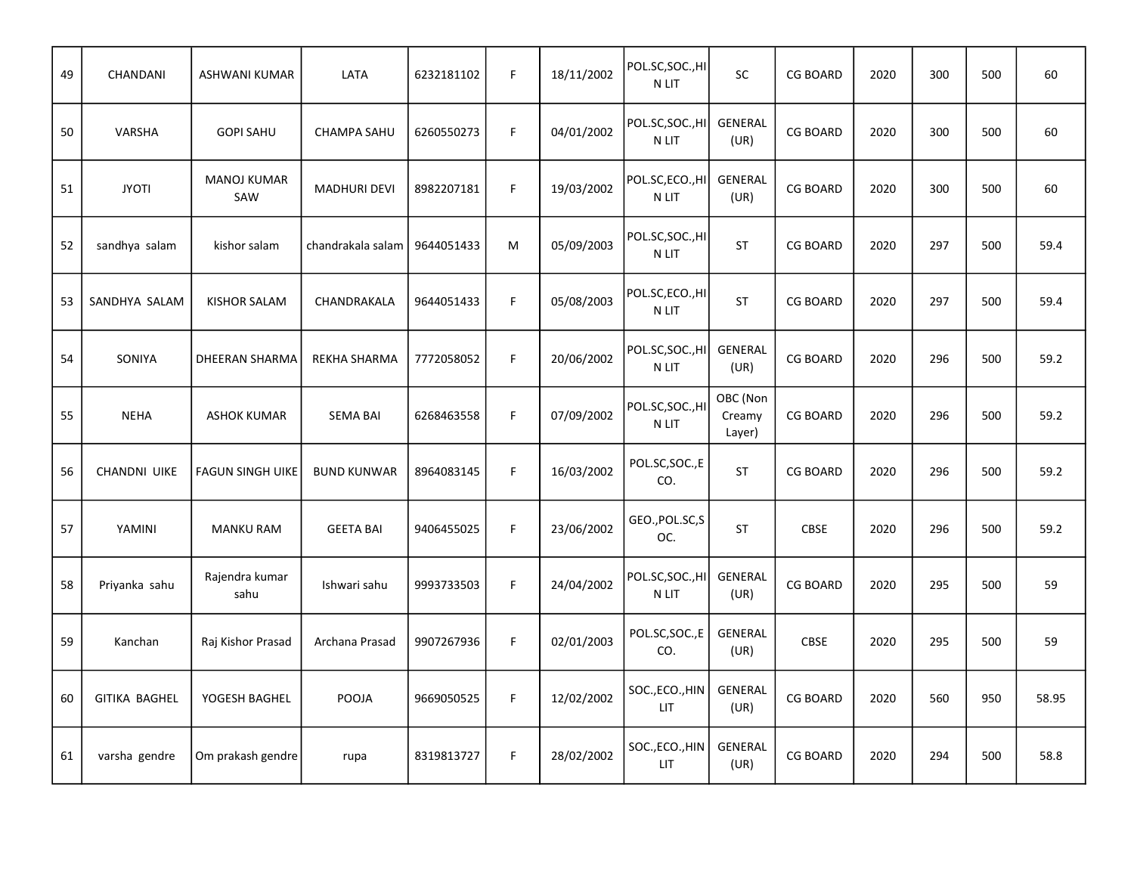| 49 | CHANDANI             | <b>ASHWANI KUMAR</b>      | LATA                | 6232181102 | F           | 18/11/2002 | POL.SC,SOC.,HI<br>N LIT       | <b>SC</b>                    | <b>CG BOARD</b> | 2020 | 300 | 500 | 60    |
|----|----------------------|---------------------------|---------------------|------------|-------------|------------|-------------------------------|------------------------------|-----------------|------|-----|-----|-------|
| 50 | VARSHA               | <b>GOPI SAHU</b>          | <b>CHAMPA SAHU</b>  | 6260550273 | F           | 04/01/2002 | POL.SC, SOC., HI<br>N LIT     | <b>GENERAL</b><br>(UR)       | <b>CG BOARD</b> | 2020 | 300 | 500 | 60    |
| 51 | <b>JYOTI</b>         | <b>MANOJ KUMAR</b><br>SAW | <b>MADHURI DEVI</b> | 8982207181 | F           | 19/03/2002 | POL.SC,ECO.,HI<br>N LIT       | <b>GENERAL</b><br>(UR)       | <b>CG BOARD</b> | 2020 | 300 | 500 | 60    |
| 52 | sandhya salam        | kishor salam              | chandrakala salam   | 9644051433 | M           | 05/09/2003 | POL.SC,SOC.,HI<br>N LIT       | <b>ST</b>                    | <b>CG BOARD</b> | 2020 | 297 | 500 | 59.4  |
| 53 | SANDHYA SALAM        | <b>KISHOR SALAM</b>       | CHANDRAKALA         | 9644051433 | $\mathsf F$ | 05/08/2003 | POL.SC,ECO.,HI<br>N LIT       | <b>ST</b>                    | <b>CG BOARD</b> | 2020 | 297 | 500 | 59.4  |
| 54 | SONIYA               | DHEERAN SHARMA            | <b>REKHA SHARMA</b> | 7772058052 | F           | 20/06/2002 | POL.SC, SOC., HI<br>N LIT     | <b>GENERAL</b><br>(UR)       | <b>CG BOARD</b> | 2020 | 296 | 500 | 59.2  |
| 55 | <b>NEHA</b>          | <b>ASHOK KUMAR</b>        | <b>SEMA BAI</b>     | 6268463558 | F           | 07/09/2002 | POL.SC, SOC., HI<br>N LIT     | OBC (Non<br>Creamy<br>Layer) | <b>CG BOARD</b> | 2020 | 296 | 500 | 59.2  |
| 56 | <b>CHANDNI UIKE</b>  | <b>FAGUN SINGH UIKE</b>   | <b>BUND KUNWAR</b>  | 8964083145 | F           | 16/03/2002 | POL.SC,SOC.,E<br>CO.          | <b>ST</b>                    | <b>CG BOARD</b> | 2020 | 296 | 500 | 59.2  |
| 57 | YAMINI               | <b>MANKU RAM</b>          | <b>GEETA BAI</b>    | 9406455025 | F.          | 23/06/2002 | GEO., POL.SC, S<br>OC.        | <b>ST</b>                    | CBSE            | 2020 | 296 | 500 | 59.2  |
| 58 | Priyanka sahu        | Rajendra kumar<br>sahu    | Ishwari sahu        | 9993733503 | F           | 24/04/2002 | POL.SC, SOC., HI<br>N LIT     | GENERAL<br>(UR)              | <b>CG BOARD</b> | 2020 | 295 | 500 | 59    |
| 59 | Kanchan              | Raj Kishor Prasad         | Archana Prasad      | 9907267936 | F           | 02/01/2003 | POL.SC, SOC., E<br>CO.        | <b>GENERAL</b><br>(UR)       | <b>CBSE</b>     | 2020 | 295 | 500 | 59    |
| 60 | <b>GITIKA BAGHEL</b> | YOGESH BAGHEL             | POOJA               | 9669050525 | $\mathsf F$ | 12/02/2002 | SOC., ECO., HIN<br><b>LIT</b> | GENERAL<br>(UR)              | <b>CG BOARD</b> | 2020 | 560 | 950 | 58.95 |
| 61 | varsha gendre        | Om prakash gendre         | rupa                | 8319813727 | F           | 28/02/2002 | SOC., ECO., HIN<br><b>LIT</b> | <b>GENERAL</b><br>(UR)       | <b>CG BOARD</b> | 2020 | 294 | 500 | 58.8  |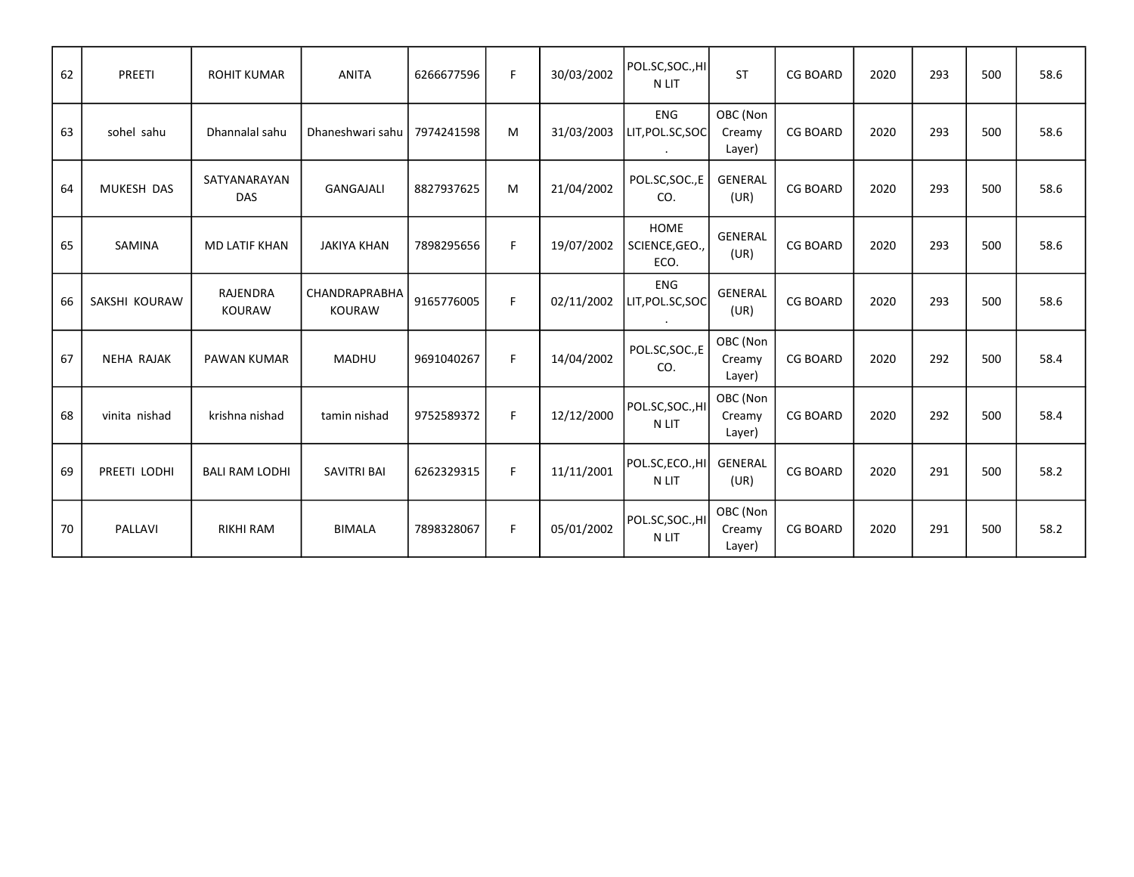| 62 | PREETI            | <b>ROHIT KUMAR</b>         | <b>ANITA</b>                   | 6266677596 | F  | 30/03/2002 | POL.SC,SOC.,HI<br>N LIT               | <b>ST</b>                    | <b>CG BOARD</b> | 2020 | 293 | 500 | 58.6 |
|----|-------------------|----------------------------|--------------------------------|------------|----|------------|---------------------------------------|------------------------------|-----------------|------|-----|-----|------|
| 63 | sohel sahu        | Dhannalal sahu             | Dhaneshwari sahu               | 7974241598 | M  | 31/03/2003 | <b>ENG</b><br>LIT, POL.SC, SOC        | OBC (Non<br>Creamy<br>Layer) | <b>CG BOARD</b> | 2020 | 293 | 500 | 58.6 |
| 64 | MUKESH DAS        | SATYANARAYAN<br><b>DAS</b> | <b>GANGAJALI</b>               | 8827937625 | M  | 21/04/2002 | POL.SC,SOC.,E<br>CO.                  | <b>GENERAL</b><br>(UR)       | <b>CG BOARD</b> | 2020 | 293 | 500 | 58.6 |
| 65 | SAMINA            | <b>MD LATIF KHAN</b>       | <b>JAKIYA KHAN</b>             | 7898295656 | F  | 19/07/2002 | <b>HOME</b><br>SCIENCE, GEO.,<br>ECO. | <b>GENERAL</b><br>(UR)       | <b>CG BOARD</b> | 2020 | 293 | 500 | 58.6 |
| 66 | SAKSHI KOURAW     | RAJENDRA<br><b>KOURAW</b>  | CHANDRAPRABHA<br><b>KOURAW</b> | 9165776005 | F  | 02/11/2002 | <b>ENG</b><br>LIT, POL.SC, SOC        | <b>GENERAL</b><br>(UR)       | <b>CG BOARD</b> | 2020 | 293 | 500 | 58.6 |
| 67 | <b>NEHA RAJAK</b> | <b>PAWAN KUMAR</b>         | <b>MADHU</b>                   | 9691040267 | F  | 14/04/2002 | POL.SC, SOC., E<br>CO.                | OBC (Non<br>Creamy<br>Layer) | <b>CG BOARD</b> | 2020 | 292 | 500 | 58.4 |
| 68 | vinita nishad     | krishna nishad             | tamin nishad                   | 9752589372 | F. | 12/12/2000 | POL.SC, SOC., HI<br>N LIT             | OBC (Non<br>Creamy<br>Layer) | <b>CG BOARD</b> | 2020 | 292 | 500 | 58.4 |
| 69 | PREETI LODHI      | <b>BALI RAM LODHI</b>      | <b>SAVITRI BAI</b>             | 6262329315 | F. | 11/11/2001 | POL.SC,ECO.,HI<br>N LIT               | <b>GENERAL</b><br>(UR)       | <b>CG BOARD</b> | 2020 | 291 | 500 | 58.2 |
| 70 | PALLAVI           | <b>RIKHI RAM</b>           | <b>BIMALA</b>                  | 7898328067 | F  | 05/01/2002 | POL.SC, SOC., HI<br>N LIT             | OBC (Non<br>Creamy<br>Layer) | <b>CG BOARD</b> | 2020 | 291 | 500 | 58.2 |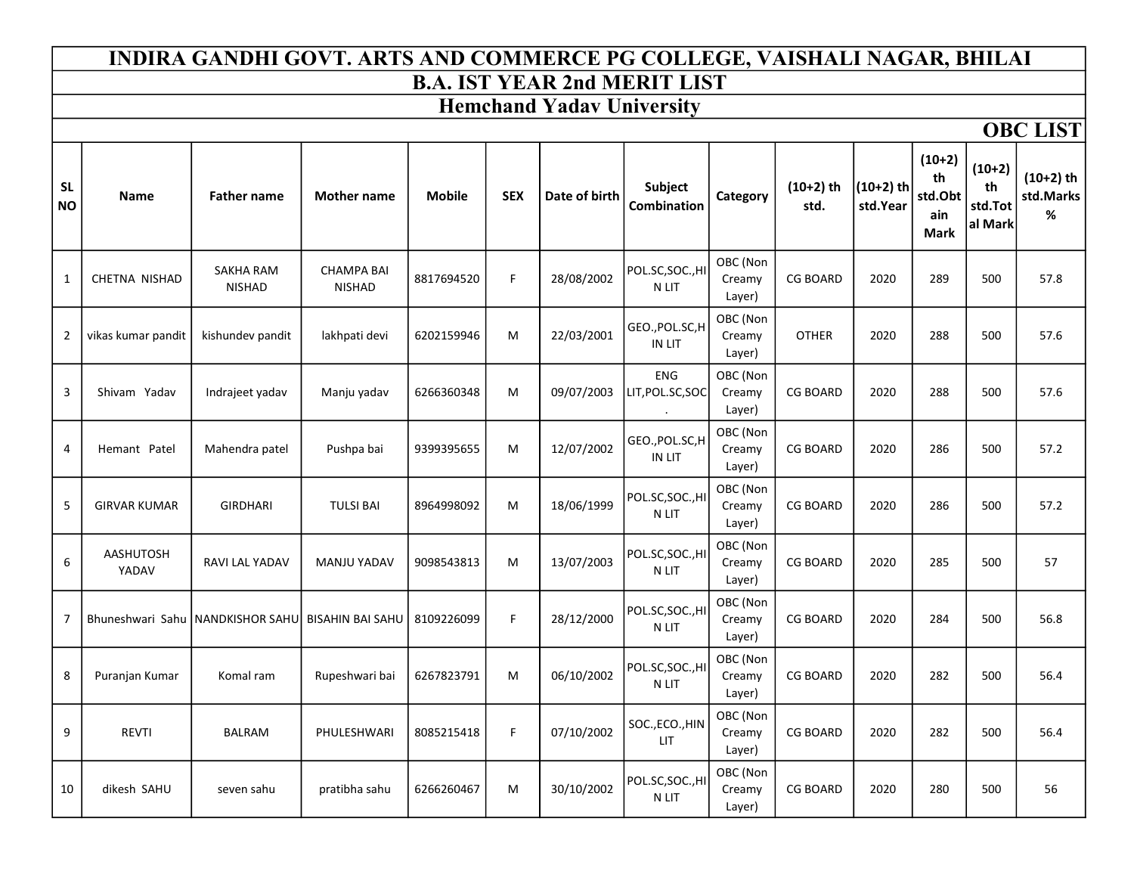#### B.A. IST YEAR 2nd MERIT LIST INDIRA GANDHI GOVT. ARTS AND COMMERCE PG COLLEGE, VAISHALI NAGAR, BHILAI

### Hemchand Yadav University

**OBC LIST** 

| <b>SL</b><br><b>NO</b> | <b>Name</b>               | <b>Father name</b>                | <b>Mother name</b>                 | <b>Mobile</b> | <b>SEX</b> | Date of birth | <b>Subject</b><br>Combination    | Category                     | $(10+2)$ th<br>std. | $(10+2)$ th<br>std.Year | $(10+2)$<br>th<br>std.Obt<br>ain<br><b>Mark</b> | $(10+2)$<br>th<br>std.Tot<br>al Mark | $(10+2)$ th<br>std.Marks<br>% |
|------------------------|---------------------------|-----------------------------------|------------------------------------|---------------|------------|---------------|----------------------------------|------------------------------|---------------------|-------------------------|-------------------------------------------------|--------------------------------------|-------------------------------|
| 1                      | CHETNA NISHAD             | <b>SAKHA RAM</b><br><b>NISHAD</b> | <b>CHAMPA BAI</b><br><b>NISHAD</b> | 8817694520    | F          | 28/08/2002    | POL.SC,SOC.,HI<br>N LIT          | OBC (Non<br>Creamy<br>Layer) | <b>CG BOARD</b>     | 2020                    | 289                                             | 500                                  | 57.8                          |
| 2                      | vikas kumar pandit        | kishundev pandit                  | lakhpati devi                      | 6202159946    | M          | 22/03/2001    | GEO., POL.SC, H<br><b>IN LIT</b> | OBC (Non<br>Creamy<br>Layer) | <b>OTHER</b>        | 2020                    | 288                                             | 500                                  | 57.6                          |
| 3                      | Shivam Yadav              | Indrajeet yadav                   | Manju yadav                        | 6266360348    | M          | 09/07/2003    | <b>ENG</b><br>LIT, POL.SC, SOC   | OBC (Non<br>Creamy<br>Layer) | <b>CG BOARD</b>     | 2020                    | 288                                             | 500                                  | 57.6                          |
| 4                      | Hemant Patel              | Mahendra patel                    | Pushpa bai                         | 9399395655    | M          | 12/07/2002    | GEO., POL.SC, H<br>IN LIT        | OBC (Non<br>Creamy<br>Layer) | <b>CG BOARD</b>     | 2020                    | 286                                             | 500                                  | 57.2                          |
| 5                      | <b>GIRVAR KUMAR</b>       | GIRDHARI                          | <b>TULSI BAI</b>                   | 8964998092    | M          | 18/06/1999    | POL.SC, SOC., HI<br>N LIT        | OBC (Non<br>Creamy<br>Layer) | <b>CG BOARD</b>     | 2020                    | 286                                             | 500                                  | 57.2                          |
| 6                      | <b>AASHUTOSH</b><br>YADAV | RAVI LAL YADAV                    | <b>MANJU YADAV</b>                 | 9098543813    | M          | 13/07/2003    | POL.SC, SOC., HI<br>N LIT        | OBC (Non<br>Creamy<br>Layer) | <b>CG BOARD</b>     | 2020                    | 285                                             | 500                                  | 57                            |
| 7                      | Bhuneshwari Sahu          | NANDKISHOR SAHUL BISAHIN BAI SAHU |                                    | 8109226099    | F.         | 28/12/2000    | POL.SC, SOC., HI<br>N LIT        | OBC (Non<br>Creamy<br>Layer) | <b>CG BOARD</b>     | 2020                    | 284                                             | 500                                  | 56.8                          |
| 8                      | Puranjan Kumar            | Komal ram                         | Rupeshwari bai                     | 6267823791    | M          | 06/10/2002    | POL.SC, SOC., HI<br>N LIT        | OBC (Non<br>Creamy<br>Layer) | <b>CG BOARD</b>     | 2020                    | 282                                             | 500                                  | 56.4                          |
| 9                      | <b>REVTI</b>              | BALRAM                            | PHULESHWARI                        | 8085215418    | F.         | 07/10/2002    | SOC., ECO., HIN<br><b>LIT</b>    | OBC (Non<br>Creamy<br>Layer) | <b>CG BOARD</b>     | 2020                    | 282                                             | 500                                  | 56.4                          |
| 10                     | dikesh SAHU               | seven sahu                        | pratibha sahu                      | 6266260467    | M          | 30/10/2002    | POL.SC, SOC., HI<br>N LIT        | OBC (Non<br>Creamy<br>Layer) | <b>CG BOARD</b>     | 2020                    | 280                                             | 500                                  | 56                            |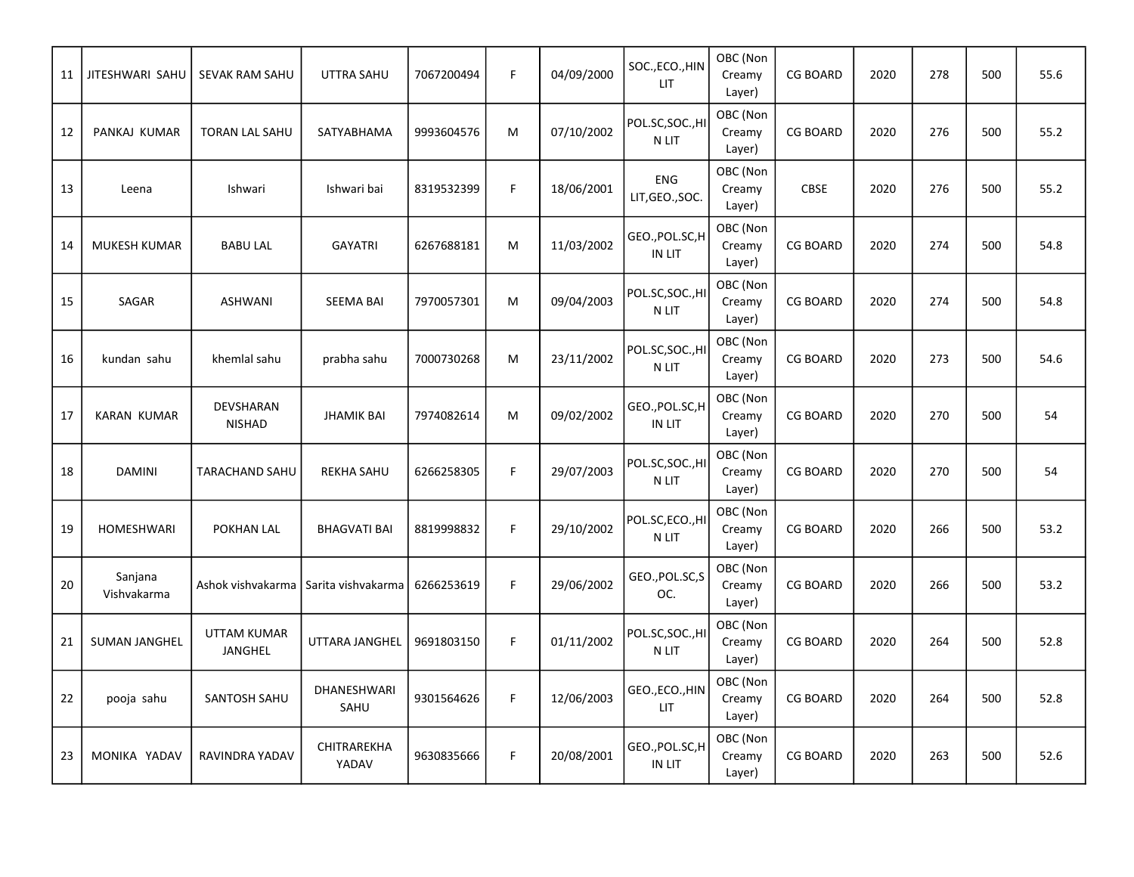| 11 | JITESHWARI SAHU        | <b>SEVAK RAM SAHU</b>         | <b>UTTRA SAHU</b>          | 7067200494 | $\mathsf F$ | 04/09/2000 | SOC., ECO., HIN<br><b>LIT</b> | OBC (Non<br>Creamy<br>Layer) | <b>CG BOARD</b> | 2020 | 278 | 500 | 55.6 |
|----|------------------------|-------------------------------|----------------------------|------------|-------------|------------|-------------------------------|------------------------------|-----------------|------|-----|-----|------|
| 12 | PANKAJ KUMAR           | <b>TORAN LAL SAHU</b>         | SATYABHAMA                 | 9993604576 | M           | 07/10/2002 | POL.SC,SOC.,HI<br>N LIT       | OBC (Non<br>Creamy<br>Layer) | <b>CG BOARD</b> | 2020 | 276 | 500 | 55.2 |
| 13 | Leena                  | Ishwari                       | Ishwari bai                | 8319532399 | $\mathsf F$ | 18/06/2001 | <b>ENG</b><br>LIT, GEO., SOC. | OBC (Non<br>Creamy<br>Layer) | <b>CBSE</b>     | 2020 | 276 | 500 | 55.2 |
| 14 | MUKESH KUMAR           | <b>BABU LAL</b>               | <b>GAYATRI</b>             | 6267688181 | M           | 11/03/2002 | GEO., POL.SC, H<br>IN LIT     | OBC (Non<br>Creamy<br>Layer) | <b>CG BOARD</b> | 2020 | 274 | 500 | 54.8 |
| 15 | SAGAR                  | <b>ASHWANI</b>                | <b>SEEMA BAI</b>           | 7970057301 | M           | 09/04/2003 | POL.SC,SOC.,HI<br>N LIT       | OBC (Non<br>Creamy<br>Layer) | <b>CG BOARD</b> | 2020 | 274 | 500 | 54.8 |
| 16 | kundan sahu            | khemlal sahu                  | prabha sahu                | 7000730268 | M           | 23/11/2002 | POL.SC,SOC.,HI<br>N LIT       | OBC (Non<br>Creamy<br>Layer) | <b>CG BOARD</b> | 2020 | 273 | 500 | 54.6 |
| 17 | <b>KARAN KUMAR</b>     | DEVSHARAN<br><b>NISHAD</b>    | <b>JHAMIK BAI</b>          | 7974082614 | M           | 09/02/2002 | GEO., POL.SC, H<br>IN LIT     | OBC (Non<br>Creamy<br>Layer) | <b>CG BOARD</b> | 2020 | 270 | 500 | 54   |
| 18 | <b>DAMINI</b>          | TARACHAND SAHU                | <b>REKHA SAHU</b>          | 6266258305 | F           | 29/07/2003 | POL.SC,SOC.,HI<br>N LIT       | OBC (Non<br>Creamy<br>Layer) | <b>CG BOARD</b> | 2020 | 270 | 500 | 54   |
| 19 | HOMESHWARI             | POKHAN LAL                    | <b>BHAGVATI BAI</b>        | 8819998832 | F           | 29/10/2002 | POL.SC,ECO.,HI<br>N LIT       | OBC (Non<br>Creamy<br>Layer) | <b>CG BOARD</b> | 2020 | 266 | 500 | 53.2 |
| 20 | Sanjana<br>Vishvakarma | Ashok vishvakarma             | Sarita vishvakarma         | 6266253619 | F           | 29/06/2002 | GEO., POL.SC, S<br>OC.        | OBC (Non<br>Creamy<br>Layer) | <b>CG BOARD</b> | 2020 | 266 | 500 | 53.2 |
| 21 | <b>SUMAN JANGHEL</b>   | <b>UTTAM KUMAR</b><br>JANGHEL | UTTARA JANGHEL             | 9691803150 | $\mathsf F$ | 01/11/2002 | POL.SC,SOC.,HI<br>N LIT       | OBC (Non<br>Creamy<br>Layer) | <b>CG BOARD</b> | 2020 | 264 | 500 | 52.8 |
| 22 | pooja sahu             | SANTOSH SAHU                  | <b>DHANESHWARI</b><br>SAHU | 9301564626 | F           | 12/06/2003 | GEO., ECO., HIN<br><b>LIT</b> | OBC (Non<br>Creamy<br>Layer) | <b>CG BOARD</b> | 2020 | 264 | 500 | 52.8 |
| 23 | MONIKA YADAV           | RAVINDRA YADAV                | CHITRAREKHA<br>YADAV       | 9630835666 | $\mathsf F$ | 20/08/2001 | GEO.,POL.SC,H<br>IN LIT       | OBC (Non<br>Creamy<br>Layer) | <b>CG BOARD</b> | 2020 | 263 | 500 | 52.6 |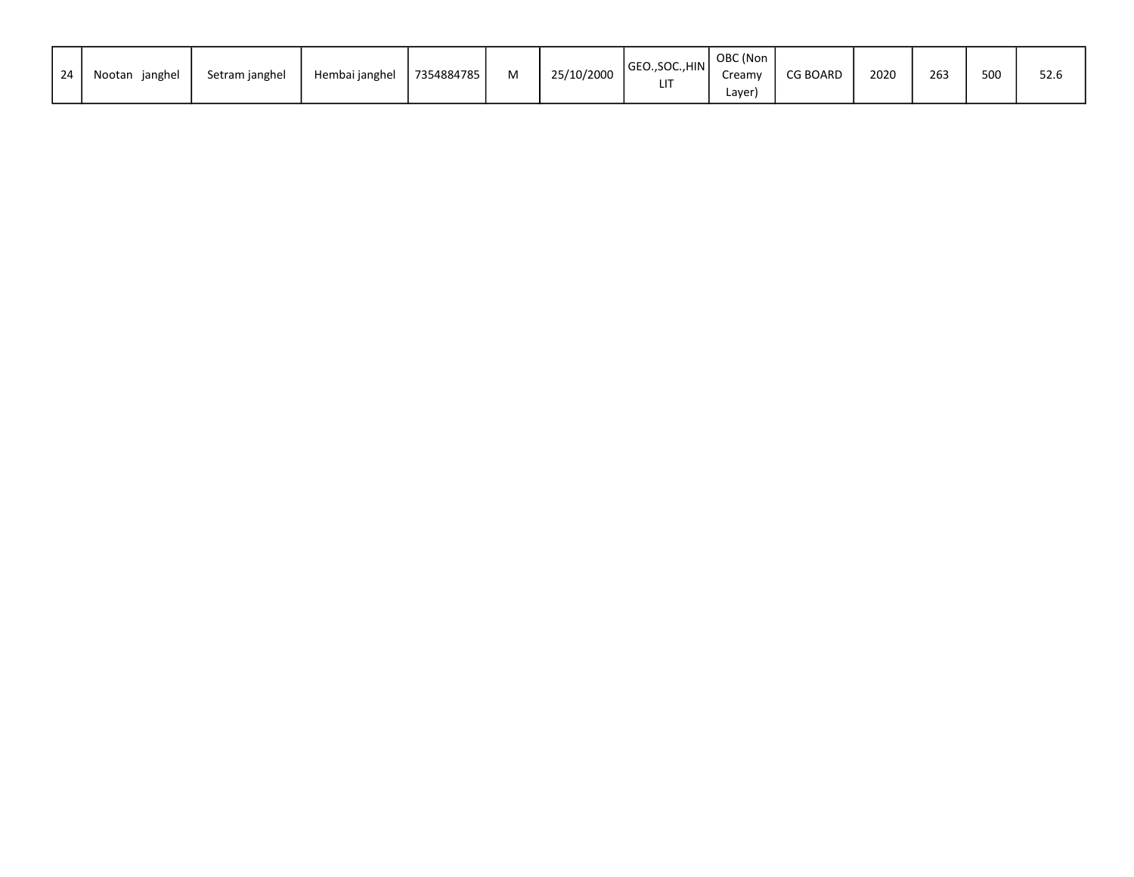| 24 | janghel<br>Nootan | Setram janghel | Hembai janghel | 7354884785 | м | 25/10/2000 | GEO., SOC., HIN<br>Lľ | OBC (Non<br>Creamy<br>Layer | <b>CG BOARD</b> | 2020 | 263 | 500 | 52.6 |
|----|-------------------|----------------|----------------|------------|---|------------|-----------------------|-----------------------------|-----------------|------|-----|-----|------|
|----|-------------------|----------------|----------------|------------|---|------------|-----------------------|-----------------------------|-----------------|------|-----|-----|------|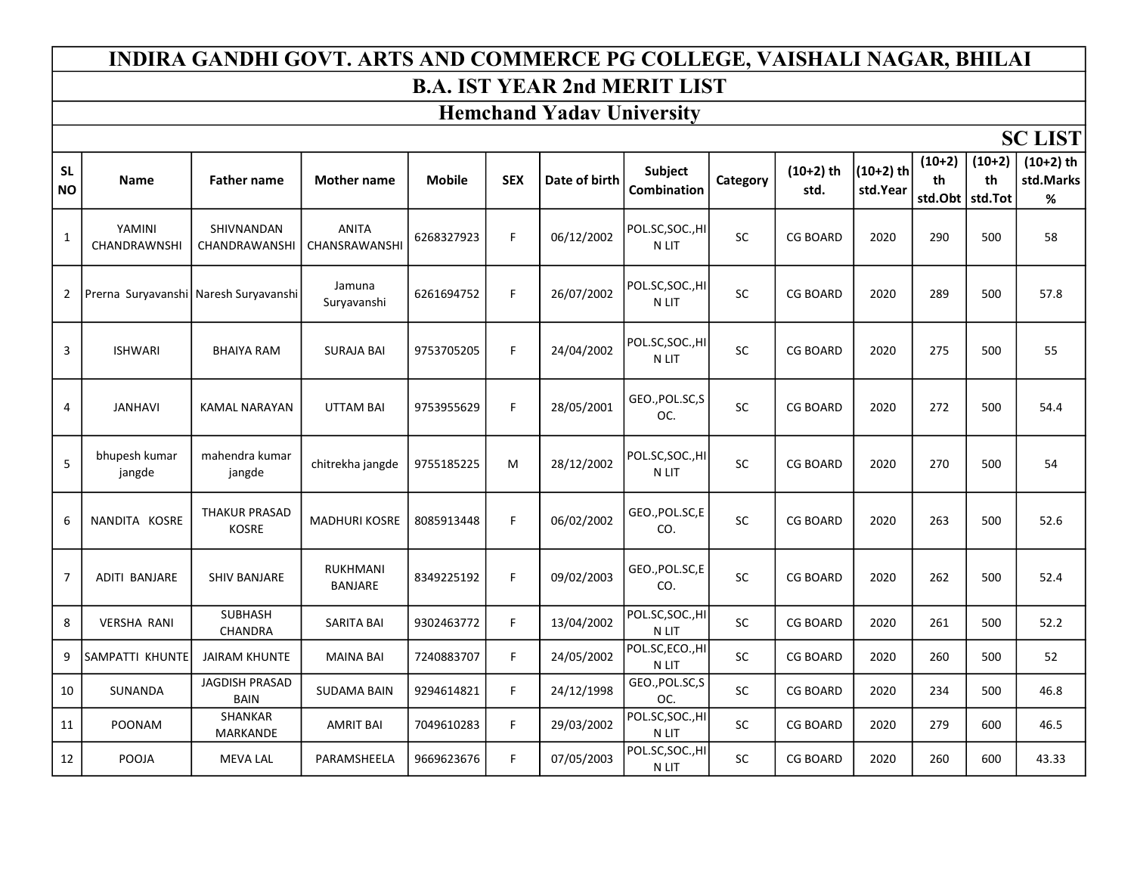# INDIRA GANDHI GOVT. ARTS AND COMMERCE PG COLLEGE, VAISHALI NAGAR, BHILAI

### B.A. IST YEAR 2nd MERIT LIST

## Hemchand Yadav University

SC LIST

| <b>SL</b><br><b>NO</b> | Name                    | <b>Father name</b>                    | <b>Mother name</b>                | <b>Mobile</b> | <b>SEX</b> | Date of birth | <b>Subject</b><br>Combination | Category  | $(10+2)$ th<br>std. | $(10+2)$ th<br>std.Year | $(10+2)$<br>th<br>std.Obt | $(10+2)$<br>th<br>std.Tot | $(10+2)$ th<br>std.Marks<br>% |
|------------------------|-------------------------|---------------------------------------|-----------------------------------|---------------|------------|---------------|-------------------------------|-----------|---------------------|-------------------------|---------------------------|---------------------------|-------------------------------|
| 1                      | YAMINI<br>CHANDRAWNSHI  | SHIVNANDAN<br>CHANDRAWANSHI           | ANITA<br>CHANSRAWANSHI            | 6268327923    | F          | 06/12/2002    | POL.SC, SOC., HI<br>N LIT     | <b>SC</b> | <b>CG BOARD</b>     | 2020                    | 290                       | 500                       | 58                            |
| 2                      |                         | Prerna Suryavanshi Naresh Suryavanshi | Jamuna<br>Survavanshi             | 6261694752    | F          | 26/07/2002    | POL.SC, SOC., HI<br>N LIT     | SC        | <b>CG BOARD</b>     | 2020                    | 289                       | 500                       | 57.8                          |
| 3                      | <b>ISHWARI</b>          | <b>BHAIYA RAM</b>                     | <b>SURAJA BAI</b>                 | 9753705205    | F.         | 24/04/2002    | POL.SC,SOC.,HI<br>N LIT       | SC        | <b>CG BOARD</b>     | 2020                    | 275                       | 500                       | 55                            |
| 4                      | <b>JANHAVI</b>          | <b>KAMAL NARAYAN</b>                  | <b>UTTAM BAI</b>                  | 9753955629    | F.         | 28/05/2001    | GEO., POL.SC, S<br>OC.        | <b>SC</b> | <b>CG BOARD</b>     | 2020                    | 272                       | 500                       | 54.4                          |
| 5                      | bhupesh kumar<br>jangde | mahendra kumar<br>jangde              | chitrekha jangde                  | 9755185225    | M          | 28/12/2002    | POL.SC,SOC.,HI<br>N LIT       | SC        | <b>CG BOARD</b>     | 2020                    | 270                       | 500                       | 54                            |
| 6                      | NANDITA KOSRE           | <b>THAKUR PRASAD</b><br><b>KOSRE</b>  | <b>MADHURI KOSRE</b>              | 8085913448    | F.         | 06/02/2002    | GEO., POL.SC, E<br>CO.        | <b>SC</b> | <b>CG BOARD</b>     | 2020                    | 263                       | 500                       | 52.6                          |
| $\overline{7}$         | <b>ADITI BANJARE</b>    | <b>SHIV BANJARE</b>                   | <b>RUKHMANI</b><br><b>BANJARE</b> | 8349225192    | F.         | 09/02/2003    | GEO., POL.SC, E<br>CO.        | <b>SC</b> | <b>CG BOARD</b>     | 2020                    | 262                       | 500                       | 52.4                          |
| 8                      | <b>VERSHA RANI</b>      | <b>SUBHASH</b><br>CHANDRA             | <b>SARITA BAI</b>                 | 9302463772    | F.         | 13/04/2002    | POL.SC,SOC.,HI<br>N LIT       | <b>SC</b> | <b>CG BOARD</b>     | 2020                    | 261                       | 500                       | 52.2                          |
| 9                      | SAMPATTI KHUNTE         | <b>JAIRAM KHUNTE</b>                  | <b>MAINA BAI</b>                  | 7240883707    | F.         | 24/05/2002    | POL.SC,ECO.,HI<br>N LIT       | SC        | <b>CG BOARD</b>     | 2020                    | 260                       | 500                       | 52                            |
| 10                     | <b>SUNANDA</b>          | <b>JAGDISH PRASAD</b><br><b>BAIN</b>  | <b>SUDAMA BAIN</b>                | 9294614821    | F.         | 24/12/1998    | GEO., POL.SC, S<br>OC.        | <b>SC</b> | <b>CG BOARD</b>     | 2020                    | 234                       | 500                       | 46.8                          |
| 11                     | <b>POONAM</b>           | <b>SHANKAR</b><br>MARKANDE            | <b>AMRIT BAI</b>                  | 7049610283    | F.         | 29/03/2002    | POL.SC,SOC.,HI<br>N LIT       | SC        | <b>CG BOARD</b>     | 2020                    | 279                       | 600                       | 46.5                          |
| 12                     | POOJA                   | <b>MEVA LAL</b>                       | PARAMSHEELA                       | 9669623676    | F.         | 07/05/2003    | POL.SC, SOC., HI<br>N LIT     | <b>SC</b> | <b>CG BOARD</b>     | 2020                    | 260                       | 600                       | 43.33                         |